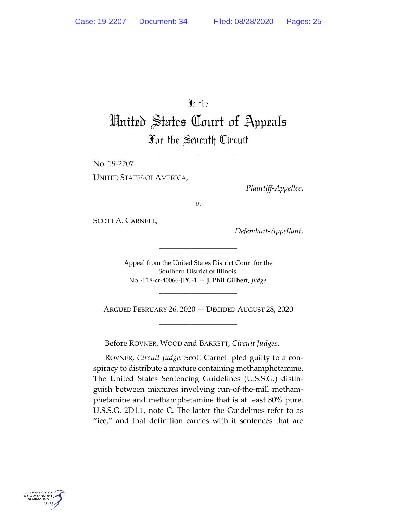# In the

# United States Court of Appeals For the Seventh Circuit

\_\_\_\_\_\_\_\_\_\_\_\_\_\_\_\_\_\_\_\_

No. 19-2207

UNITED STATES OF AMERICA,

*Plaintiff-Appellee*,

*v.*

SCOTT A. CARNELL,

*Defendant-Appellant*.

Appeal from the United States District Court for the Southern District of Illinois. No. 4:18-cr-40066-JPG-1 — **J. Phil Gilbert**, *Judge*.

\_\_\_\_\_\_\_\_\_\_\_\_\_\_\_\_\_\_\_\_

ARGUED FEBRUARY 26, 2020 — DECIDED AUGUST 28, 2020 \_\_\_\_\_\_\_\_\_\_\_\_\_\_\_\_\_\_\_\_

\_\_\_\_\_\_\_\_\_\_\_\_\_\_\_\_\_\_\_\_

Before ROVNER, WOOD and BARRETT, *Circuit Judges*.

ROVNER, *Circuit Judge*. Scott Carnell pled guilty to a conspiracy to distribute a mixture containing methamphetamine. The United States Sentencing Guidelines (U.S.S.G.) distinguish between mixtures involving run-of-the-mill methamphetamine and methamphetamine that is at least 80% pure. U.S.S.G. 2D1.1, note C. The latter the Guidelines refer to as "ice," and that definition carries with it sentences that are

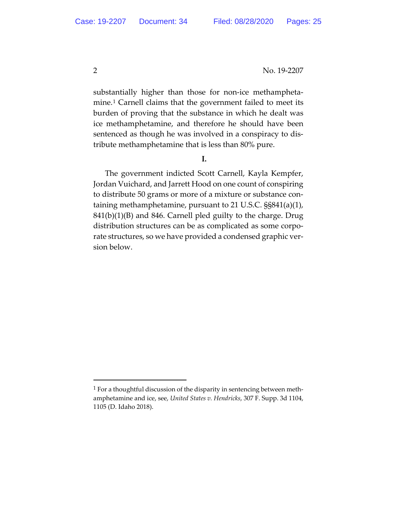substantially higher than those for non-ice methampheta-mine.<sup>[1](#page-1-0)</sup> Carnell claims that the government failed to meet its burden of proving that the substance in which he dealt was ice methamphetamine, and therefore he should have been sentenced as though he was involved in a conspiracy to distribute methamphetamine that is less than 80% pure.

#### **I.**

The government indicted Scott Carnell, Kayla Kempfer, Jordan Vuichard, and Jarrett Hood on one count of conspiring to distribute 50 grams or more of a mixture or substance containing methamphetamine, pursuant to 21 U.S.C. §§841(a)(1), 841(b)(1)(B) and 846. Carnell pled guilty to the charge. Drug distribution structures can be as complicated as some corporate structures, so we have provided a condensed graphic version below.

<span id="page-1-0"></span> $1$  For a thoughtful discussion of the disparity in sentencing between methamphetamine and ice, see, *United States v. Hendricks*, 307 F. Supp. 3d 1104, 1105 (D. Idaho 2018).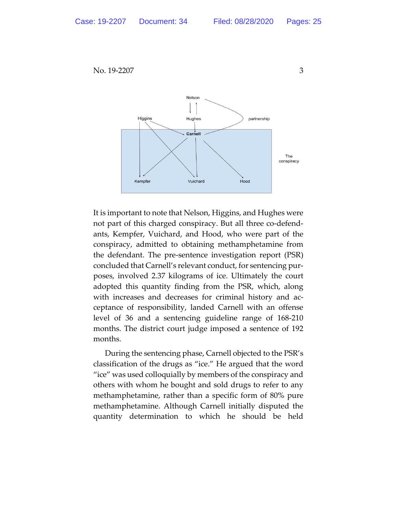

It is important to note that Nelson, Higgins, and Hughes were not part of this charged conspiracy. But all three co-defendants, Kempfer, Vuichard, and Hood, who were part of the conspiracy, admitted to obtaining methamphetamine from the defendant. The pre-sentence investigation report (PSR) concluded that Carnell's relevant conduct, for sentencing purposes, involved 2.37 kilograms of ice. Ultimately the court adopted this quantity finding from the PSR, which, along with increases and decreases for criminal history and acceptance of responsibility, landed Carnell with an offense level of 36 and a sentencing guideline range of 168-210 months. The district court judge imposed a sentence of 192 months.

During the sentencing phase, Carnell objected to the PSR's classification of the drugs as "ice." He argued that the word "ice" was used colloquially by members of the conspiracy and others with whom he bought and sold drugs to refer to any methamphetamine, rather than a specific form of 80% pure methamphetamine. Although Carnell initially disputed the quantity determination to which he should be held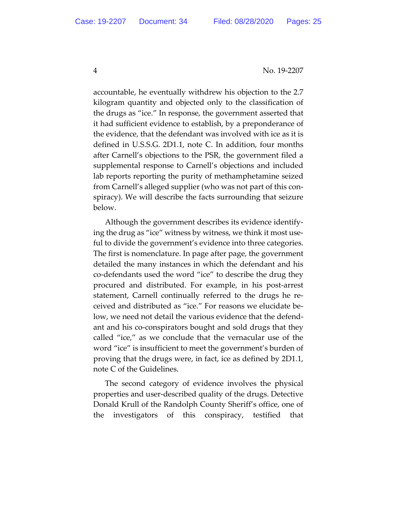accountable, he eventually withdrew his objection to the 2.7 kilogram quantity and objected only to the classification of the drugs as "ice." In response, the government asserted that it had sufficient evidence to establish, by a preponderance of the evidence, that the defendant was involved with ice as it is defined in U.S.S.G. 2D1.1, note C. In addition, four months after Carnell's objections to the PSR, the government filed a supplemental response to Carnell's objections and included lab reports reporting the purity of methamphetamine seized from Carnell's alleged supplier (who was not part of this conspiracy). We will describe the facts surrounding that seizure below.

Although the government describes its evidence identifying the drug as "ice" witness by witness, we think it most useful to divide the government's evidence into three categories. The first is nomenclature. In page after page, the government detailed the many instances in which the defendant and his co-defendants used the word "ice" to describe the drug they procured and distributed. For example, in his post-arrest statement, Carnell continually referred to the drugs he received and distributed as "ice." For reasons we elucidate below, we need not detail the various evidence that the defendant and his co-conspirators bought and sold drugs that they called "ice," as we conclude that the vernacular use of the word "ice" is insufficient to meet the government's burden of proving that the drugs were, in fact, ice as defined by 2D1.1, note C of the Guidelines.

The second category of evidence involves the physical properties and user-described quality of the drugs. Detective Donald Krull of the Randolph County Sheriff's office, one of the investigators of this conspiracy, testified that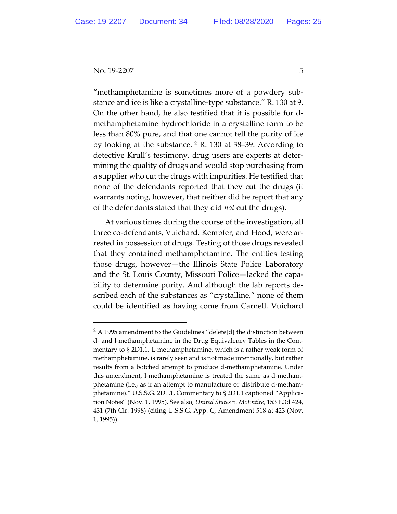"methamphetamine is sometimes more of a powdery substance and ice is like a crystalline-type substance." R. 130 at 9. On the other hand, he also testified that it is possible for dmethamphetamine hydrochloride in a crystalline form to be less than 80% pure, and that one cannot tell the purity of ice by looking at the substance. [2](#page-4-0) R. 130 at 38–39. According to detective Krull's testimony, drug users are experts at determining the quality of drugs and would stop purchasing from a supplier who cut the drugs with impurities. He testified that none of the defendants reported that they cut the drugs (it warrants noting, however, that neither did he report that any of the defendants stated that they did *not* cut the drugs).

At various times during the course of the investigation, all three co-defendants, Vuichard, Kempfer, and Hood, were arrested in possession of drugs. Testing of those drugs revealed that they contained methamphetamine. The entities testing those drugs, however—the Illinois State Police Laboratory and the St. Louis County, Missouri Police—lacked the capability to determine purity. And although the lab reports described each of the substances as "crystalline," none of them could be identified as having come from Carnell. Vuichard

<span id="page-4-0"></span> $2$  A 1995 amendment to the Guidelines "delete[d] the distinction between d- and l-methamphetamine in the Drug Equivalency Tables in the Commentary to § 2D1.1. L-methamphetamine, which is a rather weak form of methamphetamine, is rarely seen and is not made intentionally, but rather results from a botched attempt to produce d-methamphetamine. Under this amendment, l-methamphetamine is treated the same as d-methamphetamine (i.e., as if an attempt to manufacture or distribute d-methamphetamine)." U.S.S.G. 2D1.1, Commentary to § 2D1.1 captioned "Application Notes" (Nov. 1, 1995). See also, *United States v. McEntire*, 153 F.3d 424, 431 (7th Cir. 1998) (citing U.S.S.G. App. C, Amendment 518 at 423 (Nov. 1, 1995)).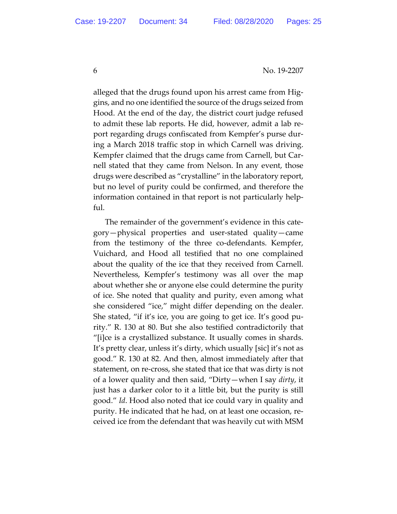alleged that the drugs found upon his arrest came from Higgins, and no one identified the source of the drugs seized from Hood. At the end of the day, the district court judge refused to admit these lab reports. He did, however, admit a lab report regarding drugs confiscated from Kempfer's purse during a March 2018 traffic stop in which Carnell was driving. Kempfer claimed that the drugs came from Carnell, but Carnell stated that they came from Nelson. In any event, those drugs were described as "crystalline" in the laboratory report, but no level of purity could be confirmed, and therefore the information contained in that report is not particularly helpful.

The remainder of the government's evidence in this category—physical properties and user-stated quality—came from the testimony of the three co-defendants. Kempfer, Vuichard, and Hood all testified that no one complained about the quality of the ice that they received from Carnell. Nevertheless, Kempfer's testimony was all over the map about whether she or anyone else could determine the purity of ice. She noted that quality and purity, even among what she considered "ice," might differ depending on the dealer. She stated, "if it's ice, you are going to get ice. It's good purity." R. 130 at 80. But she also testified contradictorily that "[i]ce is a crystallized substance. It usually comes in shards. It's pretty clear, unless it's dirty, which usually [sic] it's not as good." R. 130 at 82. And then, almost immediately after that statement, on re-cross, she stated that ice that was dirty is not of a lower quality and then said, "Dirty—when I say *dirty*, it just has a darker color to it a little bit, but the purity is still good." *Id*. Hood also noted that ice could vary in quality and purity. He indicated that he had, on at least one occasion, received ice from the defendant that was heavily cut with MSM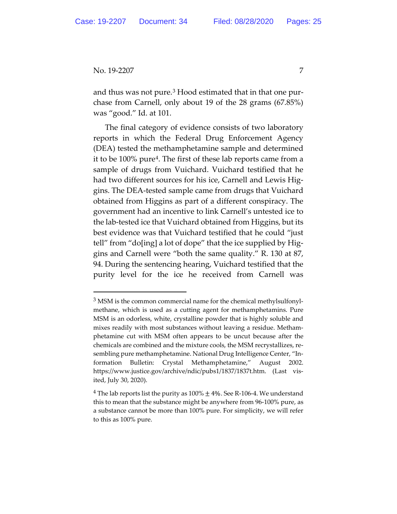and thus was not pure.<sup>[3](#page-6-0)</sup> Hood estimated that in that one purchase from Carnell, only about 19 of the 28 grams (67.85%) was "good." Id. at 101.

The final category of evidence consists of two laboratory reports in which the Federal Drug Enforcement Agency (DEA) tested the methamphetamine sample and determined it to be 100% pure[4](#page-6-1). The first of these lab reports came from a sample of drugs from Vuichard. Vuichard testified that he had two different sources for his ice, Carnell and Lewis Higgins. The DEA-tested sample came from drugs that Vuichard obtained from Higgins as part of a different conspiracy. The government had an incentive to link Carnell's untested ice to the lab-tested ice that Vuichard obtained from Higgins, but its best evidence was that Vuichard testified that he could "just tell" from "do[ing] a lot of dope" that the ice supplied by Higgins and Carnell were "both the same quality." R. 130 at 87, 94. During the sentencing hearing, Vuichard testified that the purity level for the ice he received from Carnell was

<span id="page-6-0"></span><sup>&</sup>lt;sup>3</sup> MSM is the common commercial name for the chemical methylsulfonylmethane, which is used as a cutting agent for methamphetamins. Pure MSM is an odorless, white, crystalline powder that is highly soluble and mixes readily with most substances without leaving a residue. Methamphetamine cut with MSM often appears to be uncut because after the chemicals are combined and the mixture cools, the MSM recrystallizes, resembling pure methamphetamine. National Drug Intelligence Center, "Information Bulletin: Crystal Methamphetamine," August 2002. https://www.justice.gov/archive/ndic/pubs1/1837/1837t.htm. (Last visited, July 30, 2020).

<span id="page-6-1"></span><sup>&</sup>lt;sup>4</sup> The lab reports list the purity as  $100\% \pm 4\%$ . See R-106-4. We understand this to mean that the substance might be anywhere from 96-100% pure, as a substance cannot be more than 100% pure. For simplicity, we will refer to this as 100% pure.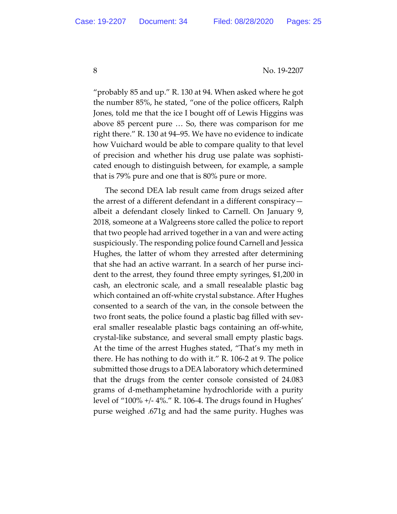"probably 85 and up." R. 130 at 94. When asked where he got the number 85%, he stated, "one of the police officers, Ralph Jones, told me that the ice I bought off of Lewis Higgins was above 85 percent pure … So, there was comparison for me right there." R. 130 at 94–95. We have no evidence to indicate how Vuichard would be able to compare quality to that level of precision and whether his drug use palate was sophisticated enough to distinguish between, for example, a sample that is 79% pure and one that is 80% pure or more.

The second DEA lab result came from drugs seized after the arrest of a different defendant in a different conspiracy albeit a defendant closely linked to Carnell. On January 9, 2018, someone at a Walgreens store called the police to report that two people had arrived together in a van and were acting suspiciously. The responding police found Carnell and Jessica Hughes, the latter of whom they arrested after determining that she had an active warrant. In a search of her purse incident to the arrest, they found three empty syringes, \$1,200 in cash, an electronic scale, and a small resealable plastic bag which contained an off-white crystal substance. After Hughes consented to a search of the van, in the console between the two front seats, the police found a plastic bag filled with several smaller resealable plastic bags containing an off-white, crystal-like substance, and several small empty plastic bags. At the time of the arrest Hughes stated, "That's my meth in there. He has nothing to do with it." R. 106-2 at 9. The police submitted those drugs to a DEA laboratory which determined that the drugs from the center console consisted of 24.083 grams of d-methamphetamine hydrochloride with a purity level of "100% +/- 4%." R. 106-4. The drugs found in Hughes' purse weighed .671g and had the same purity. Hughes was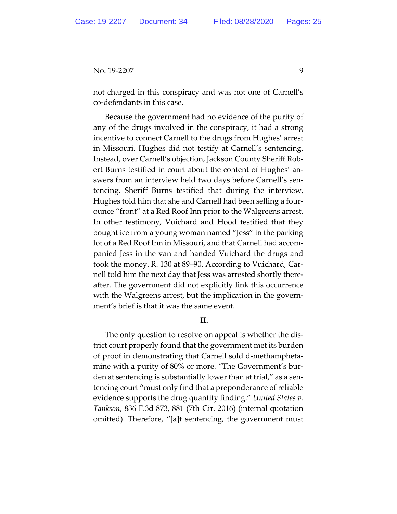not charged in this conspiracy and was not one of Carnell's co-defendants in this case.

Because the government had no evidence of the purity of any of the drugs involved in the conspiracy, it had a strong incentive to connect Carnell to the drugs from Hughes' arrest in Missouri. Hughes did not testify at Carnell's sentencing. Instead, over Carnell's objection, Jackson County Sheriff Robert Burns testified in court about the content of Hughes' answers from an interview held two days before Carnell's sentencing. Sheriff Burns testified that during the interview, Hughes told him that she and Carnell had been selling a fourounce "front" at a Red Roof Inn prior to the Walgreens arrest. In other testimony, Vuichard and Hood testified that they bought ice from a young woman named "Jess" in the parking lot of a Red Roof Inn in Missouri, and that Carnell had accompanied Jess in the van and handed Vuichard the drugs and took the money. R. 130 at 89–90. According to Vuichard, Carnell told him the next day that Jess was arrested shortly thereafter. The government did not explicitly link this occurrence with the Walgreens arrest, but the implication in the government's brief is that it was the same event.

## **II.**

The only question to resolve on appeal is whether the district court properly found that the government met its burden of proof in demonstrating that Carnell sold d-methamphetamine with a purity of 80% or more. "The Government's burden at sentencing is substantially lower than at trial," as a sentencing court "must only find that a preponderance of reliable evidence supports the drug quantity finding." *United States v. Tankson*, 836 F.3d 873, 881 (7th Cir. 2016) (internal quotation omitted). Therefore, "[a]t sentencing, the government must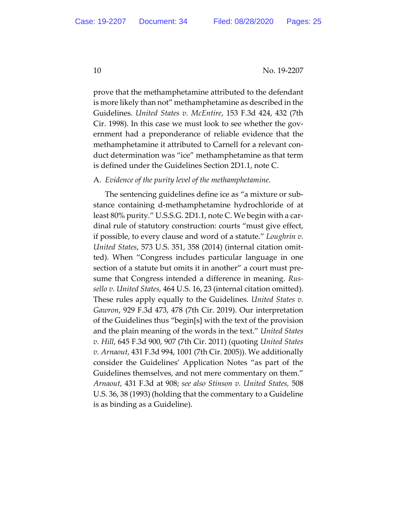prove that the methamphetamine attributed to the defendant is more likely than not" methamphetamine as described in the Guidelines. *United States v. McEntire*, 153 F.3d 424, 432 (7th Cir. 1998). In this case we must look to see whether the government had a preponderance of reliable evidence that the methamphetamine it attributed to Carnell for a relevant conduct determination was "ice" methamphetamine as that term is defined under the Guidelines Section 2D1.1, note C.

#### A. *Evidence of the purity level of the methamphetamine.*

The sentencing guidelines define ice as "a mixture or substance containing d-methamphetamine hydrochloride of at least 80% purity." U.S.S.G. 2D1.1, note C. We begin with a cardinal rule of statutory construction: courts "must give effect, if possible, to every clause and word of a statute." *Loughrin v. United States*, 573 U.S. 351, 358 (2014) (internal citation omitted). When "Congress includes particular language in one section of a statute but omits it in another" a court must presume that Congress intended a difference in meaning. *Russello v. United States,* 464 U.S. 16, 23 (internal citation omitted). These rules apply equally to the Guidelines. *United States v. Gawron*, 929 F.3d 473, 478 (7th Cir. 2019). Our interpretation of the Guidelines thus "begin[s] with the text of the provision and the plain meaning of the words in the text." *United States v. Hill*, 645 F.3d 900, 907 (7th Cir. 2011) (quoting *United States v. Arnaout*, 431 F.3d 994, 1001 (7th Cir. 2005)). We additionally consider the Guidelines' Application Notes "as part of the Guidelines themselves, and not mere commentary on them." *Arnaout*, 431 F.3d at 908; *see also Stinson v. United States,* 508 U.S. 36, 38 (1993) (holding that the commentary to a Guideline is as binding as a Guideline).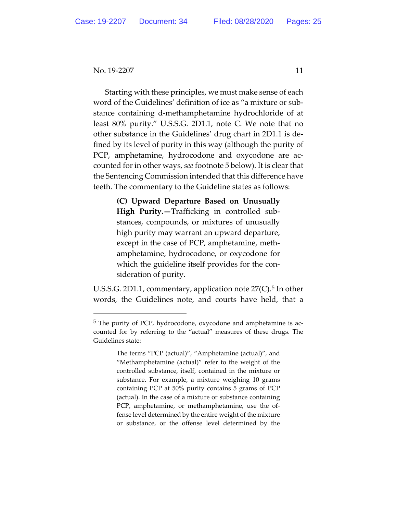Starting with these principles, we must make sense of each word of the Guidelines' definition of ice as "a mixture or substance containing d-methamphetamine hydrochloride of at least 80% purity." U.S.S.G. 2D1.1, note C. We note that no other substance in the Guidelines' drug chart in 2D1.1 is defined by its level of purity in this way (although the purity of PCP, amphetamine, hydrocodone and oxycodone are accounted for in other ways, *see* footnote 5 below). It is clear that the Sentencing Commission intended that this difference have teeth. The commentary to the Guideline states as follows:

> **(C) Upward Departure Based on Unusually High Purity.—**Trafficking in controlled substances, compounds, or mixtures of unusually high purity may warrant an upward departure, except in the case of PCP, amphetamine, methamphetamine, hydrocodone, or oxycodone for which the guideline itself provides for the consideration of purity.

U.S.S.G. 2D1.1, commentary, application note  $27(C)$ .<sup>[5](#page-10-0)</sup> In other words, the Guidelines note, and courts have held, that a

<span id="page-10-0"></span><sup>5</sup> The purity of PCP, hydrocodone, oxycodone and amphetamine is accounted for by referring to the "actual" measures of these drugs. The Guidelines state:

The terms "PCP (actual)", "Amphetamine (actual)", and "Methamphetamine (actual)" refer to the weight of the controlled substance, itself, contained in the mixture or substance. For example, a mixture weighing 10 grams containing PCP at 50% purity contains 5 grams of PCP (actual). In the case of a mixture or substance containing PCP, amphetamine, or methamphetamine, use the offense level determined by the entire weight of the mixture or substance, or the offense level determined by the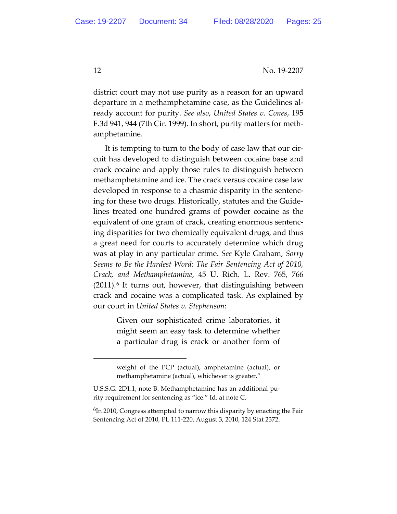district court may not use purity as a reason for an upward departure in a methamphetamine case, as the Guidelines already account for purity. *See also*, *United States v. Cones*, 195 F.3d 941, 944 (7th Cir. 1999). In short, purity matters for methamphetamine.

It is tempting to turn to the body of case law that our circuit has developed to distinguish between cocaine base and crack cocaine and apply those rules to distinguish between methamphetamine and ice. The crack versus cocaine case law developed in response to a chasmic disparity in the sentencing for these two drugs. Historically, statutes and the Guidelines treated one hundred grams of powder cocaine as the equivalent of one gram of crack, creating enormous sentencing disparities for two chemically equivalent drugs, and thus a great need for courts to accurately determine which drug was at play in any particular crime. *See* Kyle Graham, *Sorry Seems to Be the Hardest Word: The Fair Sentencing Act of 2010, Crack, and Methamphetamine*, 45 U. Rich. L. Rev. 765, 766  $(2011).<sup>6</sup>$  $(2011).<sup>6</sup>$  $(2011).<sup>6</sup>$  It turns out, however, that distinguishing between crack and cocaine was a complicated task. As explained by our court in *United States v. Stephenson*:

> Given our sophisticated crime laboratories, it might seem an easy task to determine whether a particular drug is crack or another form of

weight of the PCP (actual), amphetamine (actual), or methamphetamine (actual), whichever is greater."

U.S.S.G. 2D1.1, note B. Methamphetamine has an additional purity requirement for sentencing as "ice." Id. at note C.

<span id="page-11-0"></span><sup>6</sup>In 2010, Congress attempted to narrow this disparity by enacting the Fair Sentencing Act of 2010, PL 111-220, August 3, 2010, 124 Stat 2372.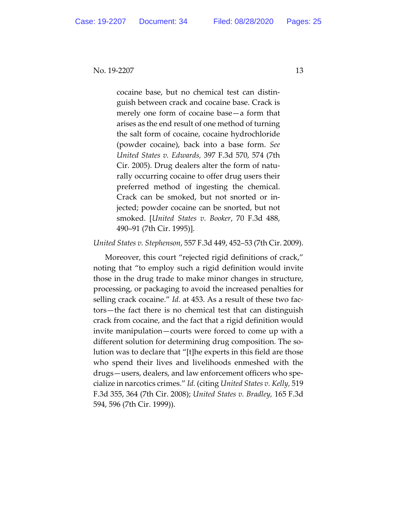cocaine base, but no chemical test can distinguish between crack and cocaine base. Crack is merely one form of cocaine base—a form that arises as the end result of one method of turning the salt form of cocaine, cocaine hydrochloride (powder cocaine), back into a base form. *See United States v. Edwards,* 397 F.3d 570, 574 (7th Cir. 2005). Drug dealers alter the form of naturally occurring cocaine to offer drug users their preferred method of ingesting the chemical. Crack can be smoked, but not snorted or injected; powder cocaine can be snorted, but not smoked. [*United States v. Booker*, 70 F.3d 488, 490–91 (7th Cir. 1995)]*.*

*United States v. Stephenson*, 557 F.3d 449, 452–53 (7th Cir. 2009).

Moreover, this court "rejected rigid definitions of crack," noting that "to employ such a rigid definition would invite those in the drug trade to make minor changes in structure, processing, or packaging to avoid the increased penalties for selling crack cocaine." *Id.* at 453. As a result of these two factors—the fact there is no chemical test that can distinguish crack from cocaine, and the fact that a rigid definition would invite manipulation—courts were forced to come up with a different solution for determining drug composition. The solution was to declare that "[t]he experts in this field are those who spend their lives and livelihoods enmeshed with the drugs—users, dealers, and law enforcement officers who specialize in narcotics crimes." *Id.* (citing *United States v. Kelly,* 519 F.3d 355, 364 (7th Cir. 2008); *United States v. Bradley,* 165 F.3d 594, 596 (7th Cir. 1999)).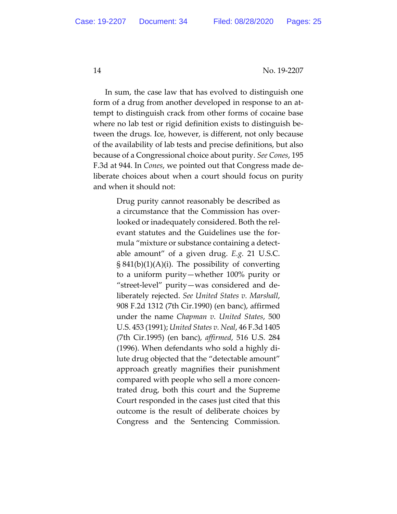In sum, the case law that has evolved to distinguish one form of a drug from another developed in response to an attempt to distinguish crack from other forms of cocaine base where no lab test or rigid definition exists to distinguish between the drugs. Ice, however, is different, not only because of the availability of lab tests and precise definitions, but also because of a Congressional choice about purity. *See Cones*, 195 F.3d at 944. In *Cones*, we pointed out that Congress made deliberate choices about when a court should focus on purity and when it should not:

> Drug purity cannot reasonably be described as a circumstance that the Commission has overlooked or inadequately considered. Both the relevant statutes and the Guidelines use the formula "mixture or substance containing a detectable amount" of a given drug. *E.g.* 21 U.S.C.  $\S 841(b)(1)(A)(i)$ . The possibility of converting to a uniform purity—whether 100% purity or "street-level" purity—was considered and deliberately rejected. *See United States v. Marshall*, 908 F.2d 1312 (7th Cir.1990) (en banc), affirmed under the name *Chapman v. United States*, 500 U.S. 453 (1991); *United States v. Neal*, 46 F.3d 1405 (7th Cir.1995) (en banc), *affirmed*, 516 U.S. 284 (1996). When defendants who sold a highly dilute drug objected that the "detectable amount" approach greatly magnifies their punishment compared with people who sell a more concentrated drug, both this court and the Supreme Court responded in the cases just cited that this outcome is the result of deliberate choices by Congress and the Sentencing Commission.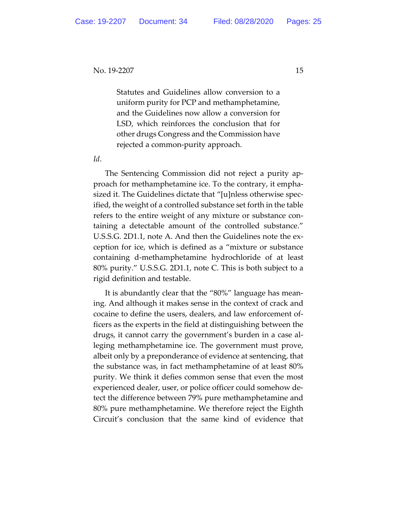Statutes and Guidelines allow conversion to a uniform purity for PCP and methamphetamine, and the Guidelines now allow a conversion for LSD, which reinforces the conclusion that for other drugs Congress and the Commission have rejected a common-purity approach.

*Id*.

The Sentencing Commission did not reject a purity approach for methamphetamine ice. To the contrary, it emphasized it. The Guidelines dictate that "[u]nless otherwise specified, the weight of a controlled substance set forth in the table refers to the entire weight of any mixture or substance containing a detectable amount of the controlled substance." U.S.S.G. 2D1.1, note A. And then the Guidelines note the exception for ice, which is defined as a "mixture or substance containing d-methamphetamine hydrochloride of at least 80% purity." U.S.S.G. 2D1.1, note C. This is both subject to a rigid definition and testable.

It is abundantly clear that the "80%" language has meaning. And although it makes sense in the context of crack and cocaine to define the users, dealers, and law enforcement officers as the experts in the field at distinguishing between the drugs, it cannot carry the government's burden in a case alleging methamphetamine ice. The government must prove, albeit only by a preponderance of evidence at sentencing, that the substance was, in fact methamphetamine of at least 80% purity. We think it defies common sense that even the most experienced dealer, user, or police officer could somehow detect the difference between 79% pure methamphetamine and 80% pure methamphetamine. We therefore reject the Eighth Circuit's conclusion that the same kind of evidence that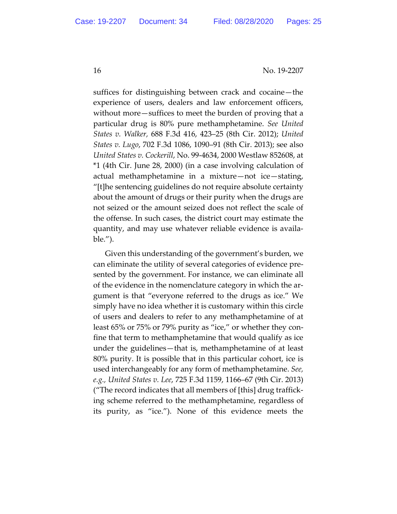suffices for distinguishing between crack and cocaine—the experience of users, dealers and law enforcement officers, without more—suffices to meet the burden of proving that a particular drug is 80% pure methamphetamine. *See United States v. Walker,* 688 F.3d 416, 423–25 (8th Cir. 2012); *United States v. Lugo*, 702 F.3d 1086, 1090–91 (8th Cir. 2013); see also *United States v. Cockerill*, No. 99-4634, 2000 Westlaw 852608, at \*1 (4th Cir. June 28, 2000) (in a case involving calculation of actual methamphetamine in a mixture—not ice—stating, "[t]he sentencing guidelines do not require absolute certainty about the amount of drugs or their purity when the drugs are not seized or the amount seized does not reflect the scale of the offense. In such cases, the district court may estimate the quantity, and may use whatever reliable evidence is available.").

Given this understanding of the government's burden, we can eliminate the utility of several categories of evidence presented by the government. For instance, we can eliminate all of the evidence in the nomenclature category in which the argument is that "everyone referred to the drugs as ice." We simply have no idea whether it is customary within this circle of users and dealers to refer to any methamphetamine of at least 65% or 75% or 79% purity as "ice," or whether they confine that term to methamphetamine that would qualify as ice under the guidelines—that is, methamphetamine of at least 80% purity. It is possible that in this particular cohort, ice is used interchangeably for any form of methamphetamine. *See, e.g., United States v. Lee*, 725 F.3d 1159, 1166–67 (9th Cir. 2013) ("The record indicates that all members of [this] drug trafficking scheme referred to the methamphetamine, regardless of its purity, as "ice."). None of this evidence meets the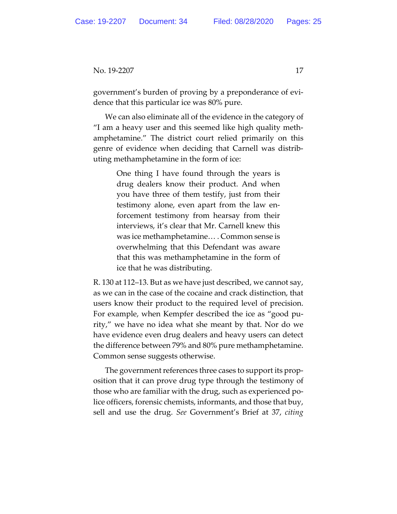government's burden of proving by a preponderance of evidence that this particular ice was 80% pure.

We can also eliminate all of the evidence in the category of "I am a heavy user and this seemed like high quality methamphetamine." The district court relied primarily on this genre of evidence when deciding that Carnell was distributing methamphetamine in the form of ice:

> One thing I have found through the years is drug dealers know their product. And when you have three of them testify, just from their testimony alone, even apart from the law enforcement testimony from hearsay from their interviews, it's clear that Mr. Carnell knew this was ice methamphetamine… . Common sense is overwhelming that this Defendant was aware that this was methamphetamine in the form of ice that he was distributing.

R. 130 at 112–13. But as we have just described, we cannot say, as we can in the case of the cocaine and crack distinction, that users know their product to the required level of precision. For example, when Kempfer described the ice as "good purity," we have no idea what she meant by that. Nor do we have evidence even drug dealers and heavy users can detect the difference between 79% and 80% pure methamphetamine. Common sense suggests otherwise.

The government references three cases to support its proposition that it can prove drug type through the testimony of those who are familiar with the drug, such as experienced police officers, forensic chemists, informants, and those that buy, sell and use the drug. *See* Government's Brief at 37, *citing*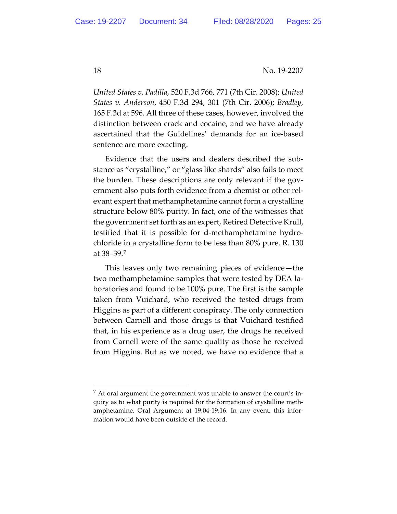*United States v. Padilla*, 520 F.3d 766, 771 (7th Cir. 2008); *United States v. Anderson*, 450 F.3d 294, 301 (7th Cir. 2006); *Bradley*, 165 F.3d at 596. All three of these cases, however, involved the distinction between crack and cocaine, and we have already ascertained that the Guidelines' demands for an ice-based sentence are more exacting.

Evidence that the users and dealers described the substance as "crystalline," or "glass like shards" also fails to meet the burden. These descriptions are only relevant if the government also puts forth evidence from a chemist or other relevant expert that methamphetamine cannot form a crystalline structure below 80% purity. In fact, one of the witnesses that the government set forth as an expert, Retired Detective Krull, testified that it is possible for d-methamphetamine hydrochloride in a crystalline form to be less than 80% pure. R. 130 at 38–39.[7](#page-17-0)

This leaves only two remaining pieces of evidence—the two methamphetamine samples that were tested by DEA laboratories and found to be 100% pure. The first is the sample taken from Vuichard, who received the tested drugs from Higgins as part of a different conspiracy. The only connection between Carnell and those drugs is that Vuichard testified that, in his experience as a drug user, the drugs he received from Carnell were of the same quality as those he received from Higgins. But as we noted, we have no evidence that a

<span id="page-17-0"></span> $<sup>7</sup>$  At oral argument the government was unable to answer the court's in-</sup> quiry as to what purity is required for the formation of crystalline methamphetamine. Oral Argument at 19:04-19:16. In any event, this information would have been outside of the record.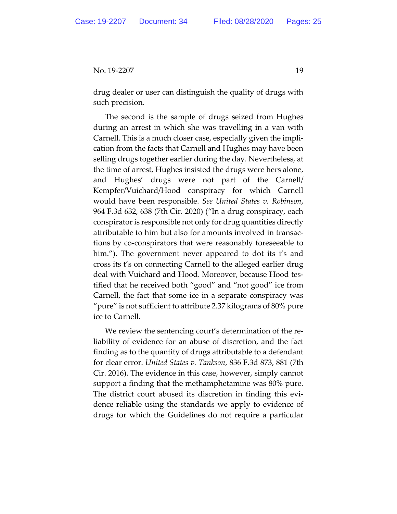drug dealer or user can distinguish the quality of drugs with such precision.

The second is the sample of drugs seized from Hughes during an arrest in which she was travelling in a van with Carnell. This is a much closer case, especially given the implication from the facts that Carnell and Hughes may have been selling drugs together earlier during the day. Nevertheless, at the time of arrest, Hughes insisted the drugs were hers alone, and Hughes' drugs were not part of the Carnell/ Kempfer/Vuichard/Hood conspiracy for which Carnell would have been responsible. *See United States v. Robinson*, 964 F.3d 632, 638 (7th Cir. 2020) ("In a drug conspiracy, each conspirator is responsible not only for drug quantities directly attributable to him but also for amounts involved in transactions by co-conspirators that were reasonably foreseeable to him."). The government never appeared to dot its i's and cross its t's on connecting Carnell to the alleged earlier drug deal with Vuichard and Hood. Moreover, because Hood testified that he received both "good" and "not good" ice from Carnell, the fact that some ice in a separate conspiracy was "pure" is not sufficient to attribute 2.37 kilograms of 80% pure ice to Carnell.

We review the sentencing court's determination of the reliability of evidence for an abuse of discretion, and the fact finding as to the quantity of drugs attributable to a defendant for clear error. *United States v. Tankson*, 836 F.3d 873, 881 (7th Cir. 2016). The evidence in this case, however, simply cannot support a finding that the methamphetamine was 80% pure. The district court abused its discretion in finding this evidence reliable using the standards we apply to evidence of drugs for which the Guidelines do not require a particular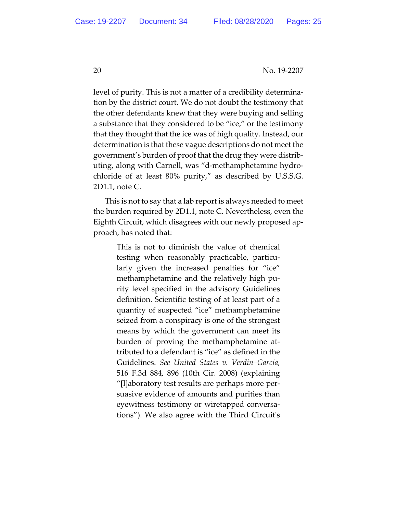level of purity. This is not a matter of a credibility determination by the district court. We do not doubt the testimony that the other defendants knew that they were buying and selling a substance that they considered to be "ice," or the testimony that they thought that the ice was of high quality. Instead, our determination is that these vague descriptions do not meet the government's burden of proof that the drug they were distributing, along with Carnell, was "d-methamphetamine hydrochloride of at least 80% purity," as described by U.S.S.G. 2D1.1, note C.

This is not to say that a lab report is always needed to meet the burden required by 2D1.1, note C. Nevertheless, even the Eighth Circuit, which disagrees with our newly proposed approach, has noted that:

> This is not to diminish the value of chemical testing when reasonably practicable, particularly given the increased penalties for "ice" methamphetamine and the relatively high purity level specified in the advisory Guidelines definition. Scientific testing of at least part of a quantity of suspected "ice" methamphetamine seized from a conspiracy is one of the strongest means by which the government can meet its burden of proving the methamphetamine attributed to a defendant is "ice" as defined in the Guidelines. *See United States v. Verdin–Garcia,* 516 F.3d 884, 896 (10th Cir. 2008) (explaining "[l]aboratory test results are perhaps more persuasive evidence of amounts and purities than eyewitness testimony or wiretapped conversations"). We also agree with the Third Circuit's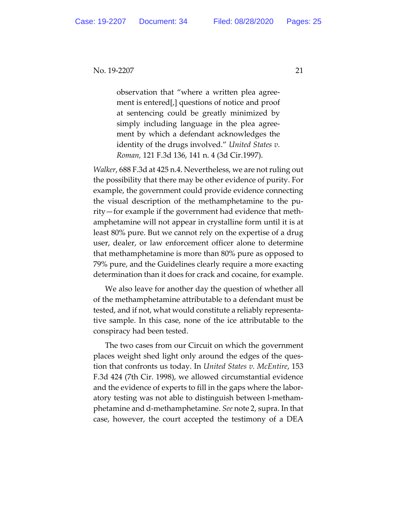observation that "where a written plea agreement is entered[,] questions of notice and proof at sentencing could be greatly minimized by simply including language in the plea agreement by which a defendant acknowledges the identity of the drugs involved." *United States v. Roman,* 121 F.3d 136, 141 n. 4 (3d Cir.1997).

*Walker*, 688 F.3d at 425 n.4. Nevertheless, we are not ruling out the possibility that there may be other evidence of purity. For example, the government could provide evidence connecting the visual description of the methamphetamine to the purity—for example if the government had evidence that methamphetamine will not appear in crystalline form until it is at least 80% pure. But we cannot rely on the expertise of a drug user, dealer, or law enforcement officer alone to determine that methamphetamine is more than 80% pure as opposed to 79% pure, and the Guidelines clearly require a more exacting determination than it does for crack and cocaine, for example.

We also leave for another day the question of whether all of the methamphetamine attributable to a defendant must be tested, and if not, what would constitute a reliably representative sample. In this case, none of the ice attributable to the conspiracy had been tested.

The two cases from our Circuit on which the government places weight shed light only around the edges of the question that confronts us today. In *United States v. McEntire*, 153 F.3d 424 (7th Cir. 1998), we allowed circumstantial evidence and the evidence of experts to fill in the gaps where the laboratory testing was not able to distinguish between l-methamphetamine and d-methamphetamine. *See* note 2, supra. In that case, however, the court accepted the testimony of a DEA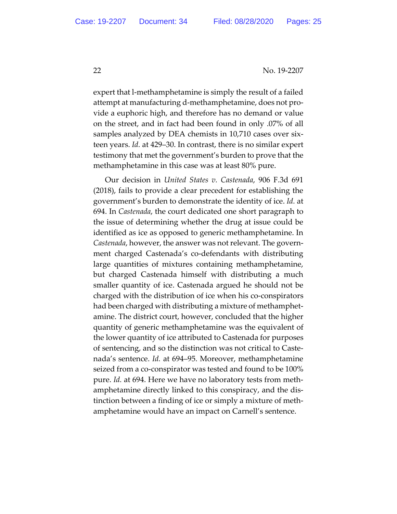expert that l-methamphetamine is simply the result of a failed attempt at manufacturing d-methamphetamine, does not provide a euphoric high, and therefore has no demand or value on the street, and in fact had been found in only .07% of all samples analyzed by DEA chemists in 10,710 cases over sixteen years. *Id.* at 429–30. In contrast, there is no similar expert testimony that met the government's burden to prove that the methamphetamine in this case was at least 80% pure.

Our decision in *United States v. Castenada*, 906 F.3d 691 (2018), fails to provide a clear precedent for establishing the government's burden to demonstrate the identity of ice. *Id.* at 694. In *Castenada*, the court dedicated one short paragraph to the issue of determining whether the drug at issue could be identified as ice as opposed to generic methamphetamine. In *Castenada*, however, the answer was not relevant. The government charged Castenada's co-defendants with distributing large quantities of mixtures containing methamphetamine, but charged Castenada himself with distributing a much smaller quantity of ice. Castenada argued he should not be charged with the distribution of ice when his co-conspirators had been charged with distributing a mixture of methamphetamine. The district court, however, concluded that the higher quantity of generic methamphetamine was the equivalent of the lower quantity of ice attributed to Castenada for purposes of sentencing, and so the distinction was not critical to Castenada's sentence. *Id.* at 694–95. Moreover, methamphetamine seized from a co-conspirator was tested and found to be 100% pure. *Id.* at 694. Here we have no laboratory tests from methamphetamine directly linked to this conspiracy, and the distinction between a finding of ice or simply a mixture of methamphetamine would have an impact on Carnell's sentence.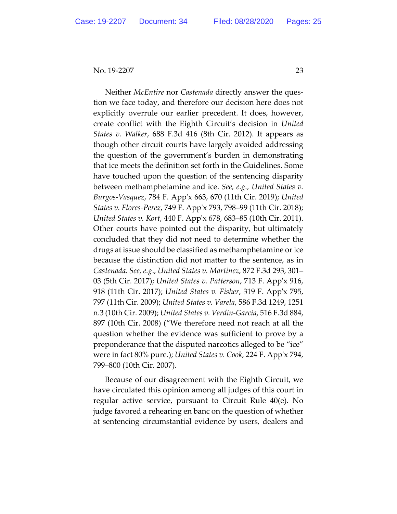Neither *McEntire* nor *Castenada* directly answer the question we face today, and therefore our decision here does not explicitly overrule our earlier precedent. It does, however, create conflict with the Eighth Circuit's decision in *United States v. Walker*, 688 F.3d 416 (8th Cir. 2012). It appears as though other circuit courts have largely avoided addressing the question of the government's burden in demonstrating that ice meets the definition set forth in the Guidelines. Some have touched upon the question of the sentencing disparity between methamphetamine and ice. *See, e.g., United States v. Burgos-Vasquez*, 784 F. App'x 663, 670 (11th Cir. 2019); *United States v. Flores-Perez*, 749 F. App'x 793, 798–99 (11th Cir. 2018); *United States v. Kort*, 440 F. App'x 678, 683–85 (10th Cir. 2011). Other courts have pointed out the disparity, but ultimately concluded that they did not need to determine whether the drugs at issue should be classified as methamphetamine or ice because the distinction did not matter to the sentence, as in *Castenada*. *See, e.g*., *United States v. Martinez*, 872 F.3d 293, 301– 03 (5th Cir. 2017); *United States v. Patterson*, 713 F. App'x 916, 918 (11th Cir. 2017); *United States v. Fisher*, 319 F. App'x 795, 797 (11th Cir. 2009); *United States v. Varela*, 586 F.3d 1249, 1251 n.3 (10th Cir. 2009); *United States v. Verdin-Garcia*, 516 F.3d 884, 897 (10th Cir. 2008) ("We therefore need not reach at all the question whether the evidence was sufficient to prove by a preponderance that the disputed narcotics alleged to be "ice" were in fact 80% pure.); *United States v. Cook*, 224 F. App'x 794, 799–800 (10th Cir. 2007).

Because of our disagreement with the Eighth Circuit, we have circulated this opinion among all judges of this court in regular active service, pursuant to Circuit Rule 40(e). No judge favored a rehearing en banc on the question of whether at sentencing circumstantial evidence by users, dealers and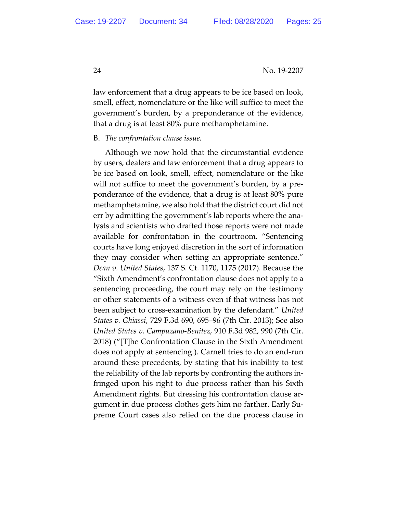law enforcement that a drug appears to be ice based on look, smell, effect, nomenclature or the like will suffice to meet the government's burden, by a preponderance of the evidence, that a drug is at least 80% pure methamphetamine.

#### B. *The confrontation clause issue.*

Although we now hold that the circumstantial evidence by users, dealers and law enforcement that a drug appears to be ice based on look, smell, effect, nomenclature or the like will not suffice to meet the government's burden, by a preponderance of the evidence, that a drug is at least 80% pure methamphetamine, we also hold that the district court did not err by admitting the government's lab reports where the analysts and scientists who drafted those reports were not made available for confrontation in the courtroom. "Sentencing courts have long enjoyed discretion in the sort of information they may consider when setting an appropriate sentence." *Dean v. United States*, 137 S. Ct. 1170, 1175 (2017). Because the "Sixth Amendment's confrontation clause does not apply to a sentencing proceeding, the court may rely on the testimony or other statements of a witness even if that witness has not been subject to cross-examination by the defendant." *United States v. Ghiassi*, 729 F.3d 690, 695–96 (7th Cir. 2013); See also *United States v. Campuzano-Benitez*, 910 F.3d 982, 990 (7th Cir. 2018) ("[T]he Confrontation Clause in the Sixth Amendment does not apply at sentencing.). Carnell tries to do an end-run around these precedents, by stating that his inability to test the reliability of the lab reports by confronting the authors infringed upon his right to due process rather than his Sixth Amendment rights. But dressing his confrontation clause argument in due process clothes gets him no farther. Early Supreme Court cases also relied on the due process clause in